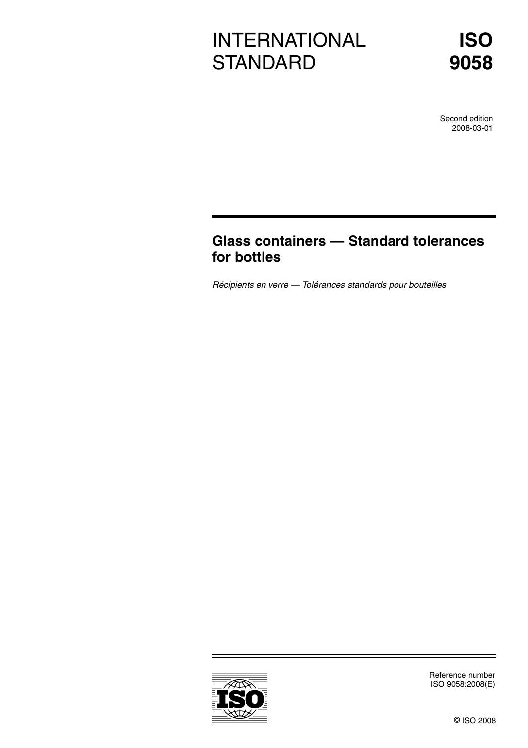# INTERNATIONAL **STANDARD**

Second edition 2008-03-01

# **Glass containers — Standard tolerances for bottles**

Récipients en verre — Tolérances standards pour bouteilles



Reference number ISO 9058:2008(E)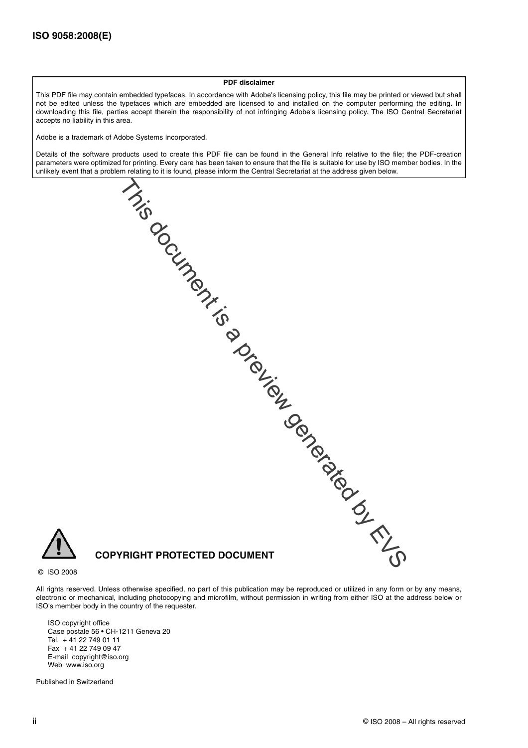#### **PDF disclaimer**

This PDF file may contain embedded typefaces. In accordance with Adobe's licensing policy, this file may be printed or viewed but shall not be edited unless the typefaces which are embedded are licensed to and installed on the computer performing the editing. In downloading this file, parties accept therein the responsibility of not infringing Adobe's licensing policy. The ISO Central Secretariat accepts no liability in this area.

Adobe is a trademark of Adobe Systems Incorporated.

Details of the software products used to create this PDF file can be found in the General Info relative to the file; the PDF-creation parameters were optimized for printing. Every care has been taken to ensure that the file is suitable for use by ISO member bodies. In the unlikely event that a problem relating to it is found, please inform the Central Secretariat at the address given below.

**COPYRIGHT PROTECTED DOCUMENT** This document is a preview generation of the comment of the comment of the comment of the comment of the comment of the comment of comment of comment of comment of comment of comment of comment of comment of comment of com

© ISO 2008

All rights reserved. Unless otherwise specified, no part of this publication may be reproduced or utilized in any form or by any means, electronic or mechanical, including photocopying and microfilm, without permission in writing from either ISO at the address below or ISO's member body in the country of the requester.

ISO copyright office Case postale 56 • CH-1211 Geneva 20 Tel. + 41 22 749 01 11 Fax + 41 22 749 09 47 E-mail copyright@iso.org Web www.iso.org

Published in Switzerland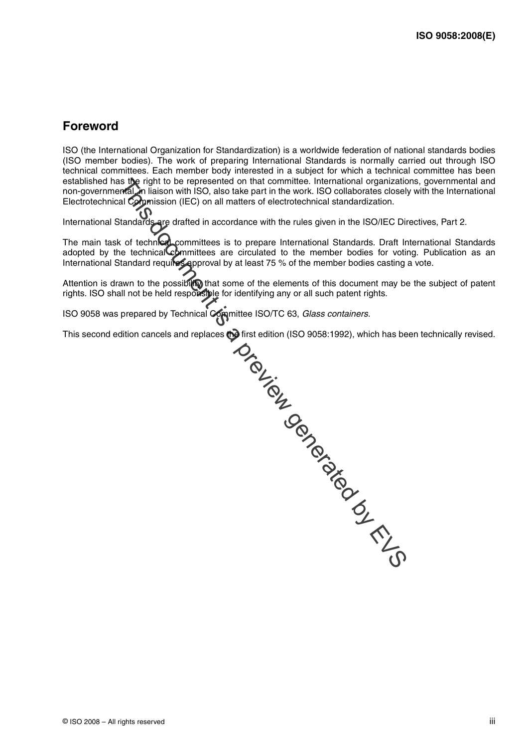## **Foreword**

ISO (the International Organization for Standardization) is a worldwide federation of national standards bodies (ISO member bodies). The work of preparing International Standards is normally carried out through ISO technical committees. Each member body interested in a subject for which a technical committee has been established has the right to be represented on that committee. International organizations, governmental and non-governmental, in liaison with ISO, also take part in the work. ISO collaborates closely with the International Electrotechnical Commission (IEC) on all matters of electrotechnical standardization.

International Standards are drafted in accordance with the rules given in the ISO/IEC Directives, Part 2.

The main task of technical committees is to prepare International Standards. Draft International Standards adopted by the technical committees are circulated to the member bodies for voting. Publication as an International Standard requires approval by at least 75 % of the member bodies casting a vote.

Attention is drawn to the possibility that some of the elements of this document may be the subject of patent rights. ISO shall not be held responsible for identifying any or all such patent rights.

ISO 9058 was prepared by Technical Committee ISO/TC 63, Glass containers.

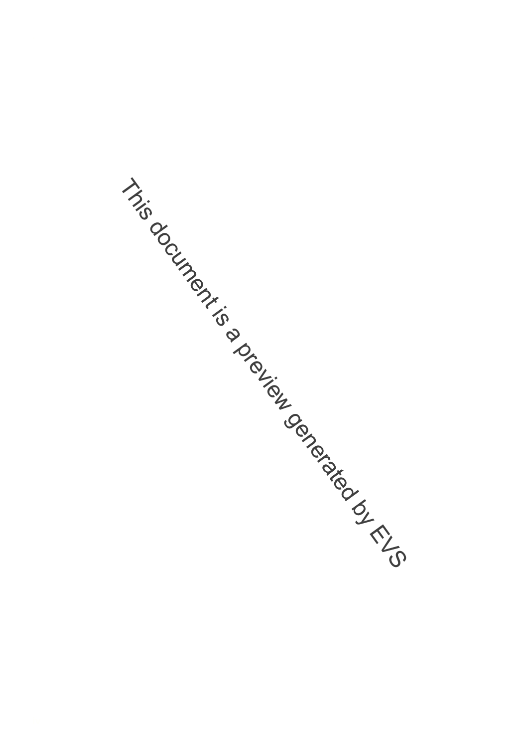This document is a preview generation by EVS